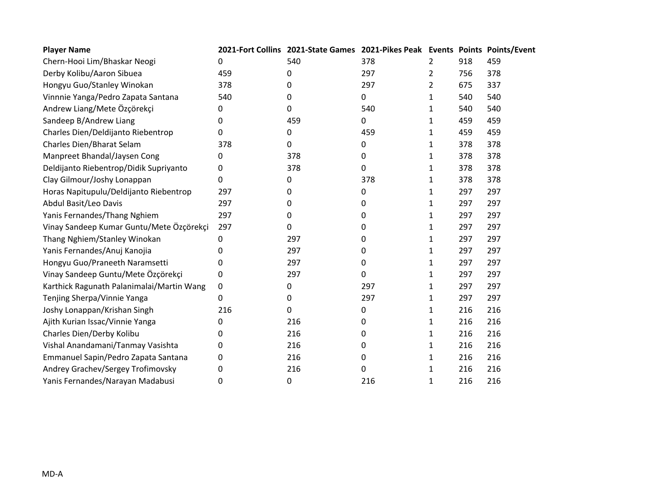| <b>Player Name</b>                        |     | 2021-Fort Collins 2021-State Games 2021-Pikes Peak Events Points Points/Event |     |                |     |     |
|-------------------------------------------|-----|-------------------------------------------------------------------------------|-----|----------------|-----|-----|
| Chern-Hooi Lim/Bhaskar Neogi              | 0   | 540                                                                           | 378 | $\overline{2}$ | 918 | 459 |
| Derby Kolibu/Aaron Sibuea                 | 459 | 0                                                                             | 297 | 2              | 756 | 378 |
| Hongyu Guo/Stanley Winokan                | 378 | 0                                                                             | 297 | 2              | 675 | 337 |
| Vinnnie Yanga/Pedro Zapata Santana        | 540 | 0                                                                             | 0   | 1              | 540 | 540 |
| Andrew Liang/Mete Özçörekçi               | 0   | 0                                                                             | 540 | 1              | 540 | 540 |
| Sandeep B/Andrew Liang                    | 0   | 459                                                                           | 0   | 1              | 459 | 459 |
| Charles Dien/Deldijanto Riebentrop        | 0   | 0                                                                             | 459 | 1              | 459 | 459 |
| Charles Dien/Bharat Selam                 | 378 | 0                                                                             | 0   | 1              | 378 | 378 |
| Manpreet Bhandal/Jaysen Cong              | 0   | 378                                                                           | 0   | 1              | 378 | 378 |
| Deldijanto Riebentrop/Didik Supriyanto    | 0   | 378                                                                           | 0   | 1              | 378 | 378 |
| Clay Gilmour/Joshy Lonappan               | 0   | 0                                                                             | 378 | 1              | 378 | 378 |
| Horas Napitupulu/Deldijanto Riebentrop    | 297 | 0                                                                             | 0   | 1              | 297 | 297 |
| Abdul Basit/Leo Davis                     | 297 | 0                                                                             | 0   | 1              | 297 | 297 |
| Yanis Fernandes/Thang Nghiem              | 297 | 0                                                                             | 0   | 1              | 297 | 297 |
| Vinay Sandeep Kumar Guntu/Mete Özçörekçi  | 297 | 0                                                                             | 0   | 1              | 297 | 297 |
| Thang Nghiem/Stanley Winokan              | 0   | 297                                                                           | 0   | 1              | 297 | 297 |
| Yanis Fernandes/Anuj Kanojia              | 0   | 297                                                                           | 0   | 1              | 297 | 297 |
| Hongyu Guo/Praneeth Naramsetti            | 0   | 297                                                                           | 0   | 1              | 297 | 297 |
| Vinay Sandeep Guntu/Mete Özçörekçi        | 0   | 297                                                                           | 0   | 1              | 297 | 297 |
| Karthick Ragunath Palanimalai/Martin Wang | 0   | 0                                                                             | 297 | 1              | 297 | 297 |
| Tenjing Sherpa/Vinnie Yanga               | 0   | 0                                                                             | 297 | 1              | 297 | 297 |
| Joshy Lonappan/Krishan Singh              | 216 | 0                                                                             | 0   | 1              | 216 | 216 |
| Ajith Kurian Issac/Vinnie Yanga           | 0   | 216                                                                           | 0   | 1              | 216 | 216 |
| Charles Dien/Derby Kolibu                 | 0   | 216                                                                           | 0   | 1              | 216 | 216 |
| Vishal Anandamani/Tanmay Vasishta         | 0   | 216                                                                           | 0   | 1              | 216 | 216 |
| Emmanuel Sapin/Pedro Zapata Santana       | 0   | 216                                                                           | 0   | 1              | 216 | 216 |
| Andrey Grachev/Sergey Trofimovsky         | 0   | 216                                                                           | 0   | 1              | 216 | 216 |
| Yanis Fernandes/Narayan Madabusi          | 0   | 0                                                                             | 216 | $\mathbf{1}$   | 216 | 216 |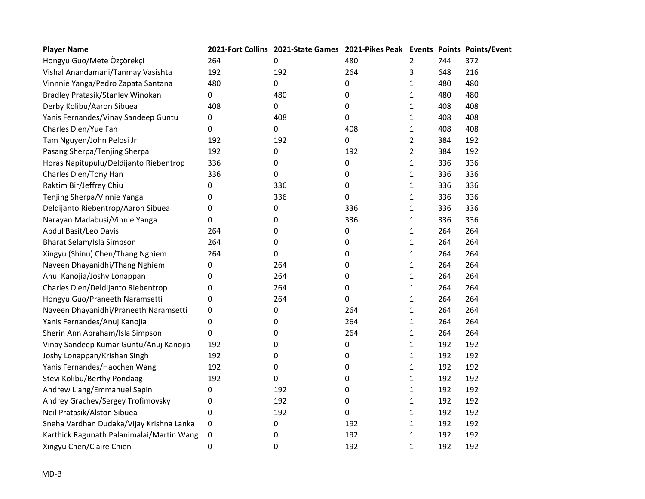| <b>Player Name</b>                        |     | 2021-Fort Collins 2021-State Games 2021-Pikes Peak Events Points Points/Event |           |                |     |     |
|-------------------------------------------|-----|-------------------------------------------------------------------------------|-----------|----------------|-----|-----|
| Hongyu Guo/Mete Özçörekçi                 | 264 | 0                                                                             | 480       | 2              | 744 | 372 |
| Vishal Anandamani/Tanmay Vasishta         | 192 | 192                                                                           | 264       | 3              | 648 | 216 |
| Vinnnie Yanga/Pedro Zapata Santana        | 480 | 0                                                                             | 0         | 1              | 480 | 480 |
| Bradley Pratasik/Stanley Winokan          | 0   | 480                                                                           | 0         | 1              | 480 | 480 |
| Derby Kolibu/Aaron Sibuea                 | 408 | 0                                                                             | 0         | 1              | 408 | 408 |
| Yanis Fernandes/Vinay Sandeep Guntu       | 0   | 408                                                                           | 0         | 1              | 408 | 408 |
| Charles Dien/Yue Fan                      | 0   | 0                                                                             | 408       | 1              | 408 | 408 |
| Tam Nguyen/John Pelosi Jr                 | 192 | 192                                                                           | 0         | $\overline{2}$ | 384 | 192 |
| Pasang Sherpa/Tenjing Sherpa              | 192 | 0                                                                             | 192       | $\overline{2}$ | 384 | 192 |
| Horas Napitupulu/Deldijanto Riebentrop    | 336 | 0                                                                             | 0         | $\mathbf{1}$   | 336 | 336 |
| Charles Dien/Tony Han                     | 336 | 0                                                                             | 0         | 1              | 336 | 336 |
| Raktim Bir/Jeffrey Chiu                   | 0   | 336                                                                           | 0         | $\mathbf{1}$   | 336 | 336 |
| Tenjing Sherpa/Vinnie Yanga               | 0   | 336                                                                           | $\pmb{0}$ | $\mathbf{1}$   | 336 | 336 |
| Deldijanto Riebentrop/Aaron Sibuea        | 0   | 0                                                                             | 336       | $\mathbf{1}$   | 336 | 336 |
| Narayan Madabusi/Vinnie Yanga             | 0   | 0                                                                             | 336       | $\mathbf{1}$   | 336 | 336 |
| Abdul Basit/Leo Davis                     | 264 | 0                                                                             | 0         | $\mathbf{1}$   | 264 | 264 |
| Bharat Selam/Isla Simpson                 | 264 | 0                                                                             | 0         | 1              | 264 | 264 |
| Xingyu (Shinu) Chen/Thang Nghiem          | 264 | 0                                                                             | 0         | $\mathbf{1}$   | 264 | 264 |
| Naveen Dhayanidhi/Thang Nghiem            | 0   | 264                                                                           | 0         | 1              | 264 | 264 |
| Anuj Kanojia/Joshy Lonappan               | 0   | 264                                                                           | 0         | 1              | 264 | 264 |
| Charles Dien/Deldijanto Riebentrop        | 0   | 264                                                                           | 0         | 1              | 264 | 264 |
| Hongyu Guo/Praneeth Naramsetti            | 0   | 264                                                                           | 0         | 1              | 264 | 264 |
| Naveen Dhayanidhi/Praneeth Naramsetti     | 0   | 0                                                                             | 264       | 1              | 264 | 264 |
| Yanis Fernandes/Anuj Kanojia              | 0   | 0                                                                             | 264       | 1              | 264 | 264 |
| Sherin Ann Abraham/Isla Simpson           | 0   | 0                                                                             | 264       | 1              | 264 | 264 |
| Vinay Sandeep Kumar Guntu/Anuj Kanojia    | 192 | 0                                                                             | 0         | 1              | 192 | 192 |
| Joshy Lonappan/Krishan Singh              | 192 | 0                                                                             | 0         | 1              | 192 | 192 |
| Yanis Fernandes/Haochen Wang              | 192 | 0                                                                             | 0         | 1              | 192 | 192 |
| Stevi Kolibu/Berthy Pondaag               | 192 | 0                                                                             | 0         | 1              | 192 | 192 |
| Andrew Liang/Emmanuel Sapin               | 0   | 192                                                                           | 0         | 1              | 192 | 192 |
| Andrey Grachev/Sergey Trofimovsky         | 0   | 192                                                                           | 0         | $\mathbf{1}$   | 192 | 192 |
| Neil Pratasik/Alston Sibuea               | 0   | 192                                                                           | $\pmb{0}$ | 1              | 192 | 192 |
| Sneha Vardhan Dudaka/Vijay Krishna Lanka  | 0   | 0                                                                             | 192       | $\mathbf{1}$   | 192 | 192 |
| Karthick Ragunath Palanimalai/Martin Wang | 0   | 0                                                                             | 192       | 1              | 192 | 192 |
| Xingyu Chen/Claire Chien                  | 0   | 0                                                                             | 192       | 1              | 192 | 192 |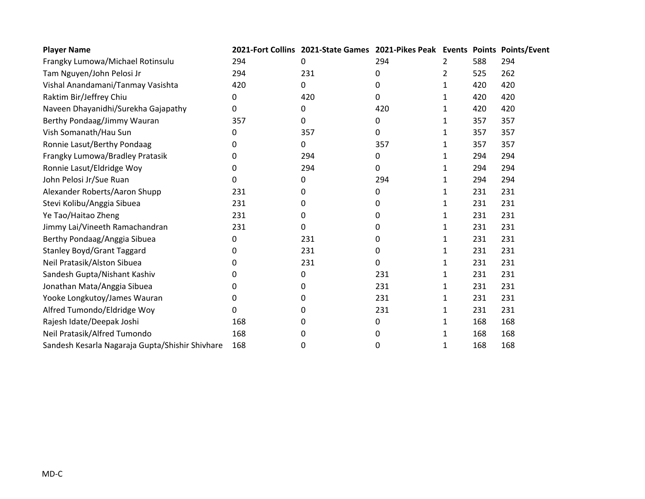| <b>Player Name</b>                              |     | 2021-Fort Collins 2021-State Games 2021-Pikes Peak Events Points Points/Event |     |              |     |     |
|-------------------------------------------------|-----|-------------------------------------------------------------------------------|-----|--------------|-----|-----|
| Frangky Lumowa/Michael Rotinsulu                | 294 | 0                                                                             | 294 | 2            | 588 | 294 |
| Tam Nguyen/John Pelosi Jr                       | 294 | 231                                                                           | 0   | 2            | 525 | 262 |
| Vishal Anandamani/Tanmay Vasishta               | 420 | 0                                                                             | 0   | 1            | 420 | 420 |
| Raktim Bir/Jeffrey Chiu                         | 0   | 420                                                                           | 0   | 1            | 420 | 420 |
| Naveen Dhayanidhi/Surekha Gajapathy             | 0   | 0                                                                             | 420 | 1            | 420 | 420 |
| Berthy Pondaag/Jimmy Wauran                     | 357 | 0                                                                             | 0   | 1            | 357 | 357 |
| Vish Somanath/Hau Sun                           | 0   | 357                                                                           | 0   | 1            | 357 | 357 |
| Ronnie Lasut/Berthy Pondaag                     | 0   | 0                                                                             | 357 | 1            | 357 | 357 |
| Frangky Lumowa/Bradley Pratasik                 | 0   | 294                                                                           | 0   | 1            | 294 | 294 |
| Ronnie Lasut/Eldridge Woy                       | 0   | 294                                                                           | 0   | 1            | 294 | 294 |
| John Pelosi Jr/Sue Ruan                         | 0   | 0                                                                             | 294 | 1            | 294 | 294 |
| Alexander Roberts/Aaron Shupp                   | 231 | 0                                                                             | 0   | 1            | 231 | 231 |
| Stevi Kolibu/Anggia Sibuea                      | 231 | 0                                                                             | 0   | 1            | 231 | 231 |
| Ye Tao/Haitao Zheng                             | 231 | 0                                                                             | 0   | 1            | 231 | 231 |
| Jimmy Lai/Vineeth Ramachandran                  | 231 | 0                                                                             | 0   | 1            | 231 | 231 |
| Berthy Pondaag/Anggia Sibuea                    | 0   | 231                                                                           | 0   | 1            | 231 | 231 |
| <b>Stanley Boyd/Grant Taggard</b>               | 0   | 231                                                                           | 0   | 1            | 231 | 231 |
| Neil Pratasik/Alston Sibuea                     | 0   | 231                                                                           | 0   | 1            | 231 | 231 |
| Sandesh Gupta/Nishant Kashiv                    | 0   | 0                                                                             | 231 | 1            | 231 | 231 |
| Jonathan Mata/Anggia Sibuea                     | 0   | 0                                                                             | 231 | 1            | 231 | 231 |
| Yooke Longkutoy/James Wauran                    | 0   | 0                                                                             | 231 | 1            | 231 | 231 |
| Alfred Tumondo/Eldridge Woy                     | 0   | 0                                                                             | 231 | 1            | 231 | 231 |
| Rajesh Idate/Deepak Joshi                       | 168 | 0                                                                             | 0   | $\mathbf{1}$ | 168 | 168 |
| Neil Pratasik/Alfred Tumondo                    | 168 | 0                                                                             | 0   | 1            | 168 | 168 |
| Sandesh Kesarla Nagaraja Gupta/Shishir Shivhare | 168 | 0                                                                             | 0   | 1            | 168 | 168 |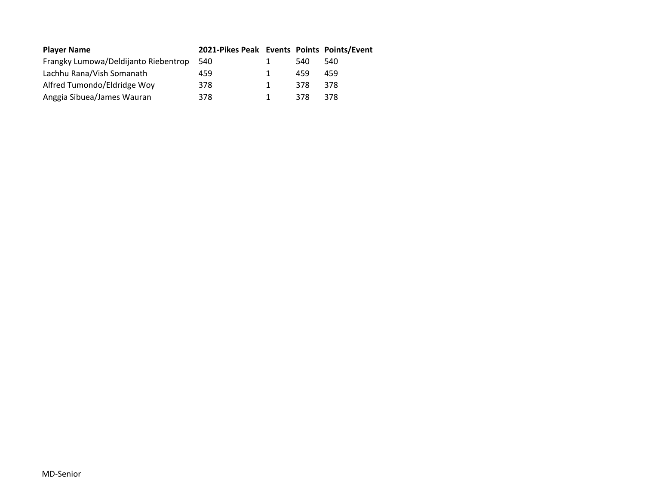| <b>Player Name</b>                   | 2021-Pikes Peak Events Points Points/Event |   |      |     |
|--------------------------------------|--------------------------------------------|---|------|-----|
| Frangky Lumowa/Deldijanto Riebentrop | 540                                        |   | 540. | 540 |
| Lachhu Rana/Vish Somanath            | 459                                        | 1 | 459  | 459 |
| Alfred Tumondo/Eldridge Woy          | 378                                        | 1 | 378  | 378 |
| Anggia Sibuea/James Wauran           | 378                                        | 1 | 378  | 378 |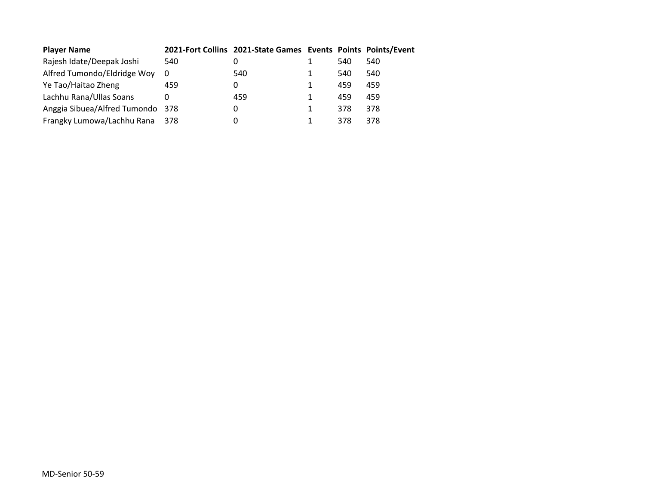| <b>Player Name</b>               |     | 2021-Fort Collins 2021-State Games Events Points Points/Event |   |     |     |
|----------------------------------|-----|---------------------------------------------------------------|---|-----|-----|
| Rajesh Idate/Deepak Joshi        | 540 | 0                                                             |   | 540 | 540 |
| Alfred Tumondo/Eldridge Woy      | 0   | 540                                                           |   | 540 | 540 |
| Ye Tao/Haitao Zheng              | 459 | 0                                                             |   | 459 | 459 |
| Lachhu Rana/Ullas Soans          | 0   | 459                                                           | 1 | 459 | 459 |
| Anggia Sibuea/Alfred Tumondo 378 |     | 0                                                             |   | 378 | 378 |
| Frangky Lumowa/Lachhu Rana 378   |     | 0                                                             |   | 378 | 378 |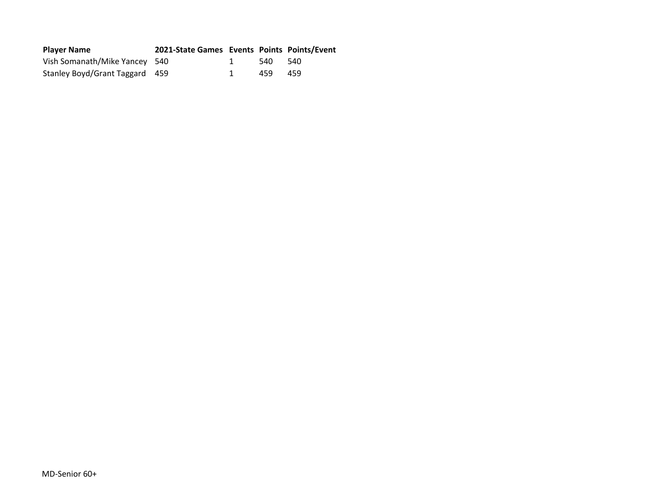| <b>Player Name</b>             | 2021-State Games Events Points Points/Event |         |  |
|--------------------------------|---------------------------------------------|---------|--|
| Vish Somanath/Mike Yancey 540  |                                             | 540 540 |  |
| Stanley Boyd/Grant Taggard 459 |                                             | 459 459 |  |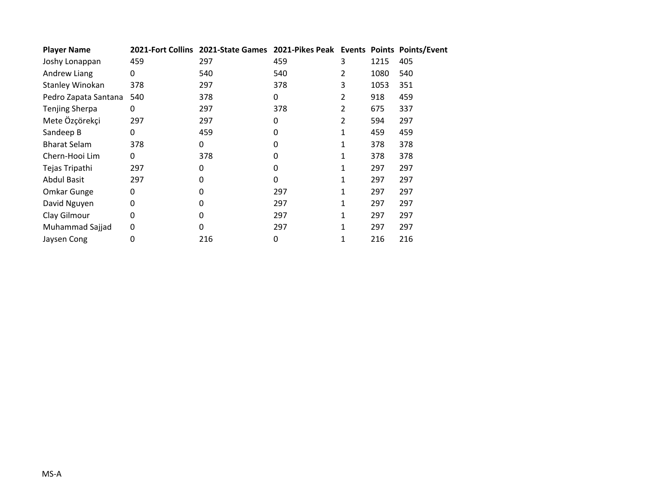| <b>Player Name</b>     |     | 2021-Fort Collins 2021-State Games 2021-Pikes Peak Events Points Points/Event |     |   |      |     |
|------------------------|-----|-------------------------------------------------------------------------------|-----|---|------|-----|
| Joshy Lonappan         | 459 | 297                                                                           | 459 | 3 | 1215 | 405 |
| Andrew Liang           | 0   | 540                                                                           | 540 | 2 | 1080 | 540 |
| <b>Stanley Winokan</b> | 378 | 297                                                                           | 378 | 3 | 1053 | 351 |
| Pedro Zapata Santana   | 540 | 378                                                                           | 0   | 2 | 918  | 459 |
| <b>Tenjing Sherpa</b>  | 0   | 297                                                                           | 378 | 2 | 675  | 337 |
| Mete Özçörekçi         | 297 | 297                                                                           | 0   | 2 | 594  | 297 |
| Sandeep B              | 0   | 459                                                                           | 0   | 1 | 459  | 459 |
| <b>Bharat Selam</b>    | 378 | 0                                                                             | 0   | 1 | 378  | 378 |
| Chern-Hooi Lim         | 0   | 378                                                                           | 0   | 1 | 378  | 378 |
| Tejas Tripathi         | 297 | 0                                                                             | 0   |   | 297  | 297 |
| <b>Abdul Basit</b>     | 297 | 0                                                                             | 0   |   | 297  | 297 |
| Omkar Gunge            | 0   | 0                                                                             | 297 |   | 297  | 297 |
| David Nguyen           | 0   | 0                                                                             | 297 | 1 | 297  | 297 |
| Clay Gilmour           | 0   | 0                                                                             | 297 | 1 | 297  | 297 |
| Muhammad Sajjad        | 0   | 0                                                                             | 297 | 1 | 297  | 297 |
| Jaysen Cong            | 0   | 216                                                                           | 0   | 1 | 216  | 216 |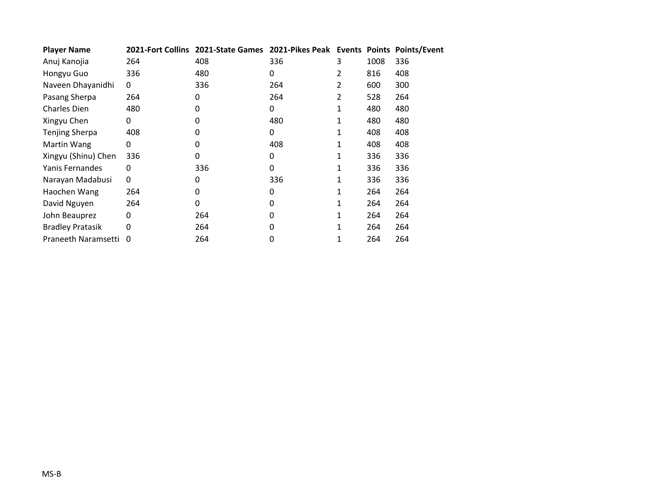| <b>Player Name</b>      |              | 2021-Fort Collins 2021-State Games 2021-Pikes Peak Events Points Points/Event |     |   |      |     |
|-------------------------|--------------|-------------------------------------------------------------------------------|-----|---|------|-----|
| Anuj Kanojia            | 264          | 408                                                                           | 336 | 3 | 1008 | 336 |
| Hongyu Guo              | 336          | 480                                                                           | 0   | 2 | 816  | 408 |
| Naveen Dhayanidhi       | $\mathbf{0}$ | 336                                                                           | 264 | 2 | 600  | 300 |
| Pasang Sherpa           | 264          | 0                                                                             | 264 | 2 | 528  | 264 |
| Charles Dien            | 480          | 0                                                                             | 0   | 1 | 480  | 480 |
| Xingyu Chen             | 0            | 0                                                                             | 480 | 1 | 480  | 480 |
| <b>Tenjing Sherpa</b>   | 408          | 0                                                                             | 0   | 1 | 408  | 408 |
| Martin Wang             | 0            | 0                                                                             | 408 | 1 | 408  | 408 |
| Xingyu (Shinu) Chen     | 336          | 0                                                                             | 0   | 1 | 336  | 336 |
| Yanis Fernandes         | 0            | 336                                                                           | 0   | 1 | 336  | 336 |
| Narayan Madabusi        | $\Omega$     | 0                                                                             | 336 | 1 | 336  | 336 |
| Haochen Wang            | 264          | 0                                                                             | 0   |   | 264  | 264 |
| David Nguyen            | 264          | 0                                                                             | 0   | 1 | 264  | 264 |
| John Beauprez           | 0            | 264                                                                           | 0   | 1 | 264  | 264 |
| <b>Bradley Pratasik</b> | 0            | 264                                                                           | 0   | 1 | 264  | 264 |
| Praneeth Naramsetti     | 0            | 264                                                                           | 0   | 1 | 264  | 264 |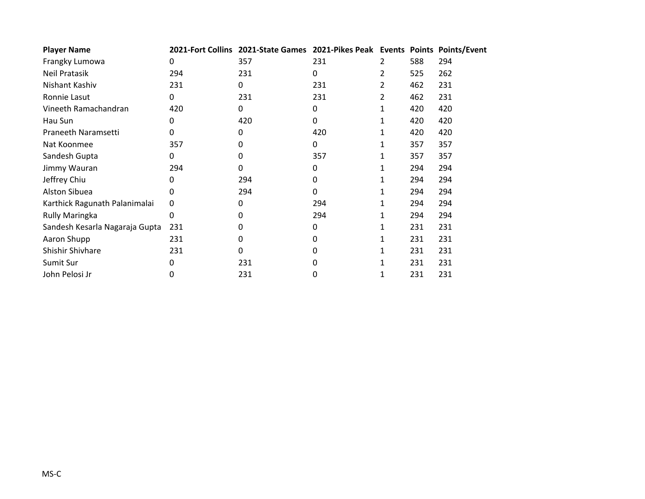| <b>Player Name</b>             |     | 2021-Fort Collins 2021-State Games 2021-Pikes Peak Events Points Points/Event |              |   |     |     |
|--------------------------------|-----|-------------------------------------------------------------------------------|--------------|---|-----|-----|
| Frangky Lumowa                 | 0   | 357                                                                           | 231          | 2 | 588 | 294 |
| Neil Pratasik                  | 294 | 231                                                                           | 0            | 2 | 525 | 262 |
| Nishant Kashiv                 | 231 | 0                                                                             | 231          | 2 | 462 | 231 |
| Ronnie Lasut                   | 0   | 231                                                                           | 231          | 2 | 462 | 231 |
| Vineeth Ramachandran           | 420 | 0                                                                             | 0            | 1 | 420 | 420 |
| Hau Sun                        | 0   | 420                                                                           | 0            | 1 | 420 | 420 |
| Praneeth Naramsetti            | 0   | 0                                                                             | 420          | 1 | 420 | 420 |
| Nat Koonmee                    | 357 | 0                                                                             | 0            | 1 | 357 | 357 |
| Sandesh Gupta                  | 0   | 0                                                                             | 357          | 1 | 357 | 357 |
| Jimmy Wauran                   | 294 | 0                                                                             | 0            |   | 294 | 294 |
| Jeffrey Chiu                   | 0   | 294                                                                           | 0            | 1 | 294 | 294 |
| Alston Sibuea                  | 0   | 294                                                                           | $\mathbf{0}$ | 1 | 294 | 294 |
| Karthick Ragunath Palanimalai  | 0   | 0                                                                             | 294          | 1 | 294 | 294 |
| <b>Rully Maringka</b>          | 0   | 0                                                                             | 294          | 1 | 294 | 294 |
| Sandesh Kesarla Nagaraja Gupta | 231 | 0                                                                             | 0            | 1 | 231 | 231 |
| Aaron Shupp                    | 231 | 0                                                                             | 0            | 1 | 231 | 231 |
| Shishir Shivhare               | 231 | 0                                                                             | 0            |   | 231 | 231 |
| Sumit Sur                      | 0   | 231                                                                           | 0            | 1 | 231 | 231 |
| John Pelosi Jr                 | 0   | 231                                                                           | 0            | 1 | 231 | 231 |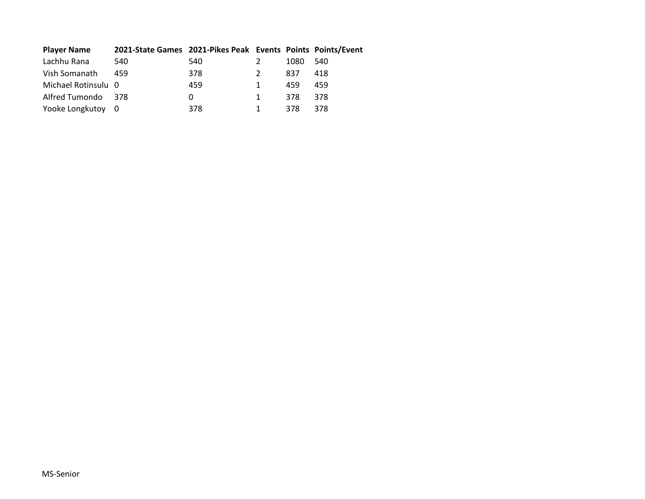| <b>Player Name</b>  | 2021-State Games 2021-Pikes Peak Events Points Points/Event |     |      |     |
|---------------------|-------------------------------------------------------------|-----|------|-----|
| Lachhu Rana         | 540                                                         | 540 | 1080 | 540 |
| Vish Somanath       | 459                                                         | 378 | 837  | 418 |
| Michael Rotinsulu 0 |                                                             | 459 | 459  | 459 |
| Alfred Tumondo 378  |                                                             | 0   | 378  | 378 |
| Yooke Longkutoy 0   |                                                             | 378 | 378  | 378 |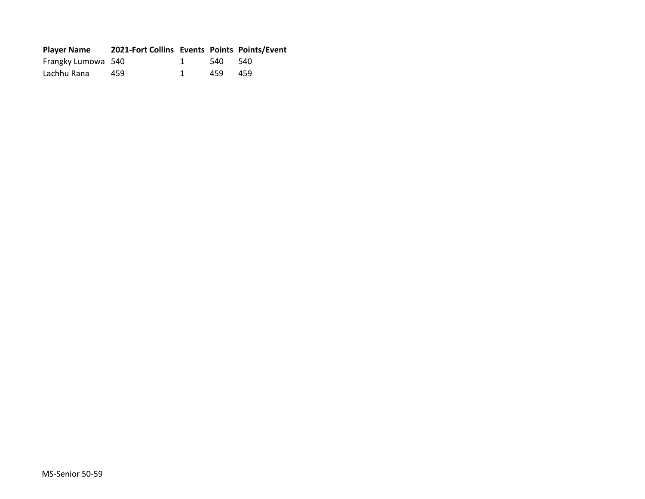| <b>Player Name</b> | 2021-Fort Collins Events Points Points/Event |         |     |
|--------------------|----------------------------------------------|---------|-----|
| Frangky Lumowa 540 |                                              | 540 540 |     |
| Lachhu Rana        | 459                                          | 459     | 459 |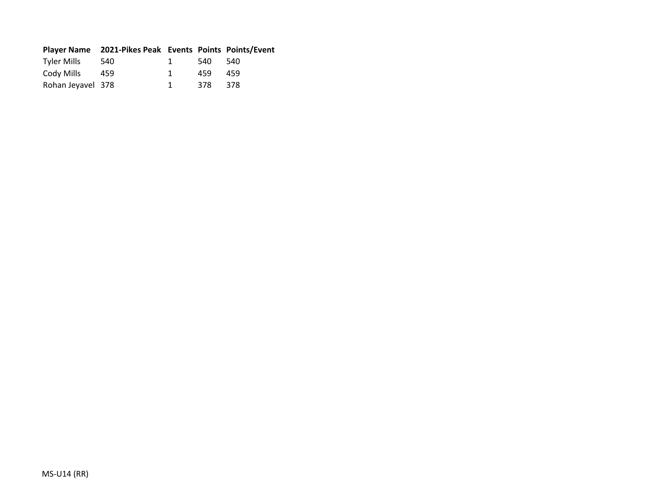|                   | Player Name 2021-Pikes Peak Events Points Points/Event |              |         |     |
|-------------------|--------------------------------------------------------|--------------|---------|-----|
| Tyler Mills       | 540                                                    | $\mathbf{1}$ | 540 540 |     |
| Cody Mills        | 459                                                    | $\mathbf{1}$ | 459     | 459 |
| Rohan Jeyavel 378 |                                                        | $\mathbf 1$  | 378 378 |     |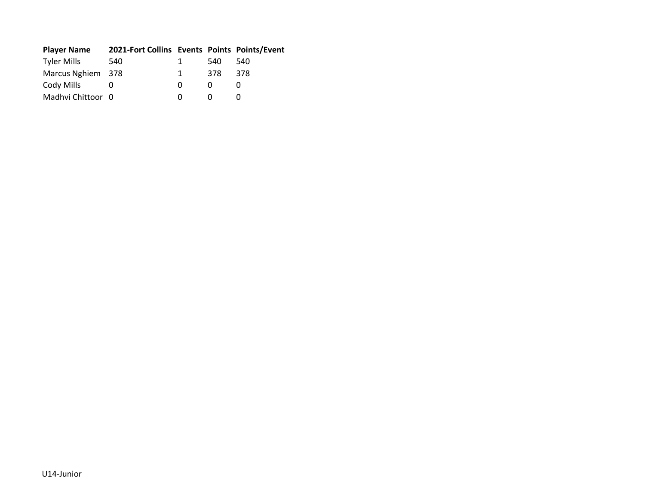| <b>Player Name</b> | 2021-Fort Collins Events Points Points/Event |              |     |     |
|--------------------|----------------------------------------------|--------------|-----|-----|
| <b>Tyler Mills</b> | 540                                          | $\mathbf{1}$ | 540 | 540 |
| Marcus Nghiem 378  |                                              | $\mathbf{1}$ | 378 | 378 |
| Cody Mills         |                                              | 0            | O   |     |
| Madhvi Chittoor 0  |                                              | O            |     |     |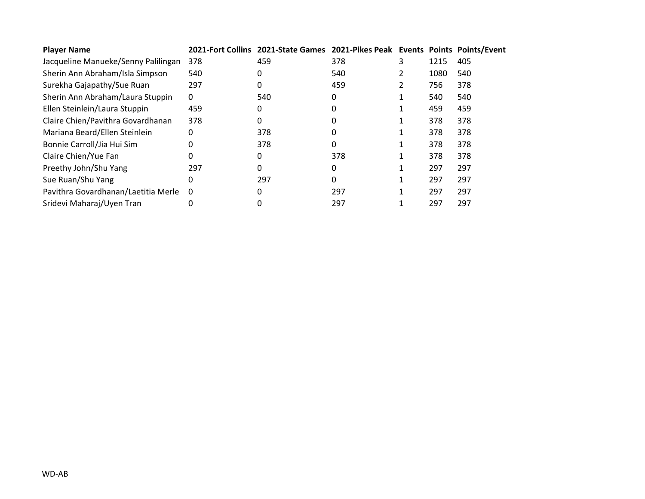| <b>Player Name</b>                  |     | 2021-Fort Collins 2021-State Games 2021-Pikes Peak Events Points Points/Event |     |      |     |
|-------------------------------------|-----|-------------------------------------------------------------------------------|-----|------|-----|
| Jacqueline Manueke/Senny Palilingan | 378 | 459                                                                           | 378 | 1215 | 405 |
| Sherin Ann Abraham/Isla Simpson     | 540 | 0                                                                             | 540 | 1080 | 540 |
| Surekha Gajapathy/Sue Ruan          | 297 | 0                                                                             | 459 | 756  | 378 |
| Sherin Ann Abraham/Laura Stuppin    | 0   | 540                                                                           | 0   | 540  | 540 |
| Ellen Steinlein/Laura Stuppin       | 459 | 0                                                                             |     | 459  | 459 |
| Claire Chien/Pavithra Govardhanan   | 378 | 0                                                                             | 0   | 378  | 378 |
| Mariana Beard/Ellen Steinlein       | 0   | 378                                                                           | 0   | 378  | 378 |
| Bonnie Carroll/Jia Hui Sim          | 0   | 378                                                                           | 0   | 378  | 378 |
| Claire Chien/Yue Fan                | 0   | 0                                                                             | 378 | 378  | 378 |
| Preethy John/Shu Yang               | 297 | 0                                                                             | 0   | 297  | 297 |
| Sue Ruan/Shu Yang                   | 0   | 297                                                                           | 0   | 297  | 297 |
| Pavithra Govardhanan/Laetitia Merle | 0   | 0                                                                             | 297 | 297  | 297 |
| Sridevi Maharaj/Uyen Tran           |     | 0                                                                             | 297 | 297  | 297 |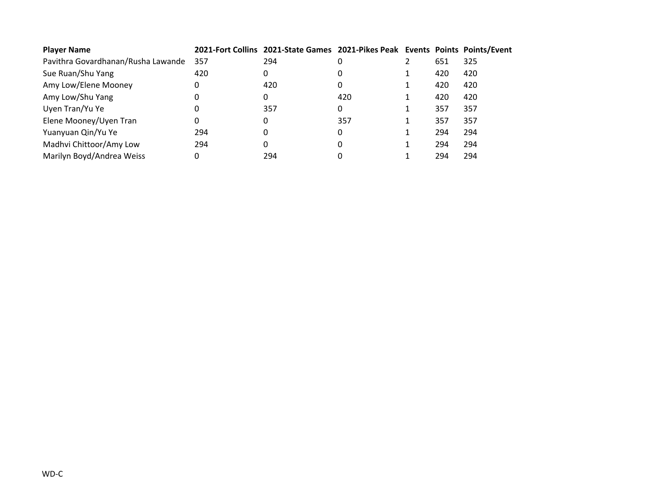| <b>Player Name</b>                 |     | 2021-Fort Collins 2021-State Games 2021-Pikes Peak Events Points Points/Event |     |     |     |
|------------------------------------|-----|-------------------------------------------------------------------------------|-----|-----|-----|
| Pavithra Govardhanan/Rusha Lawande | 357 | 294                                                                           |     | 651 | 325 |
| Sue Ruan/Shu Yang                  | 420 | 0                                                                             |     | 420 | 420 |
| Amy Low/Elene Mooney               | 0   | 420                                                                           | 0   | 420 | 420 |
| Amy Low/Shu Yang                   |     | 0                                                                             | 420 | 420 | 420 |
| Uyen Tran/Yu Ye                    |     | 357                                                                           | 0   | 357 | 357 |
| Elene Mooney/Uyen Tran             | 0   | 0                                                                             | 357 | 357 | 357 |
| Yuanyuan Qin/Yu Ye                 | 294 | 0                                                                             | 0   | 294 | 294 |
| Madhvi Chittoor/Amy Low            | 294 | 0                                                                             |     | 294 | 294 |
| Marilyn Boyd/Andrea Weiss          |     | 294                                                                           |     | 294 | 294 |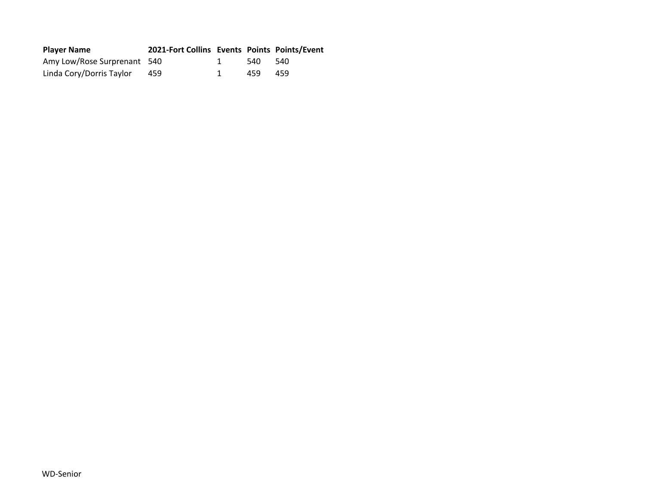| <b>Player Name</b>          | 2021-Fort Collins Events Points Points/Event |      |       |
|-----------------------------|----------------------------------------------|------|-------|
| Amy Low/Rose Surprenant 540 |                                              | -540 | - 540 |
| Linda Cory/Dorris Taylor    | 459                                          | 459  | 459   |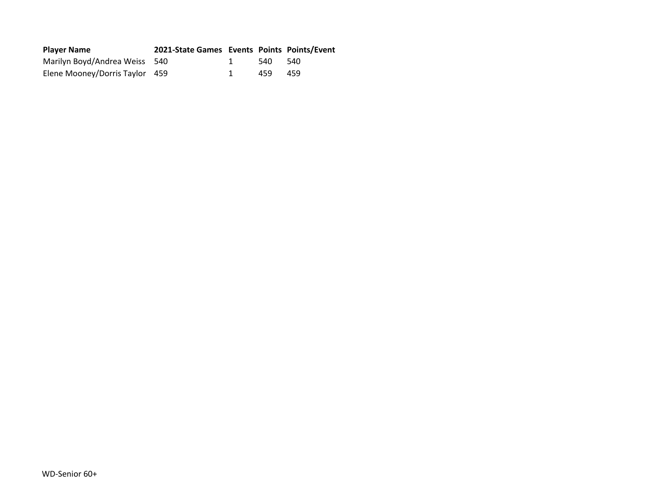| <b>Player Name</b>             | 2021-State Games Events Points Points/Event |      |       |
|--------------------------------|---------------------------------------------|------|-------|
| Marilyn Boyd/Andrea Weiss 540  |                                             | 540  | - 540 |
| Elene Mooney/Dorris Taylor 459 |                                             | 459. | 459   |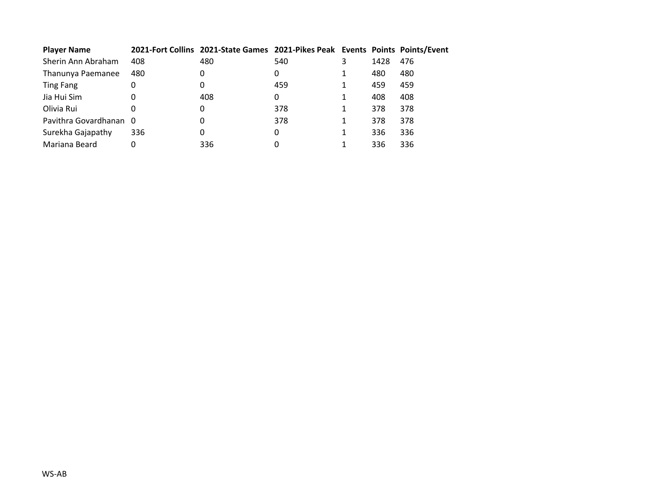| <b>Player Name</b>     |     | 2021-Fort Collins 2021-State Games 2021-Pikes Peak Events Points Points/Event |     |      |     |
|------------------------|-----|-------------------------------------------------------------------------------|-----|------|-----|
| Sherin Ann Abraham     | 408 | 480                                                                           | 540 | 1428 | 476 |
| Thanunya Paemanee      | 480 | 0                                                                             | 0   | 480  | 480 |
| <b>Ting Fang</b>       | 0   | 0                                                                             | 459 | 459  | 459 |
| Jia Hui Sim            | 0   | 408                                                                           | 0   | 408  | 408 |
| Olivia Rui             |     | 0                                                                             | 378 | 378  | 378 |
| Pavithra Govardhanan 0 |     | 0                                                                             | 378 | 378  | 378 |
| Surekha Gajapathy      | 336 | 0                                                                             | 0   | 336  | 336 |
| Mariana Beard          | 0   | 336                                                                           | 0   | 336  | 336 |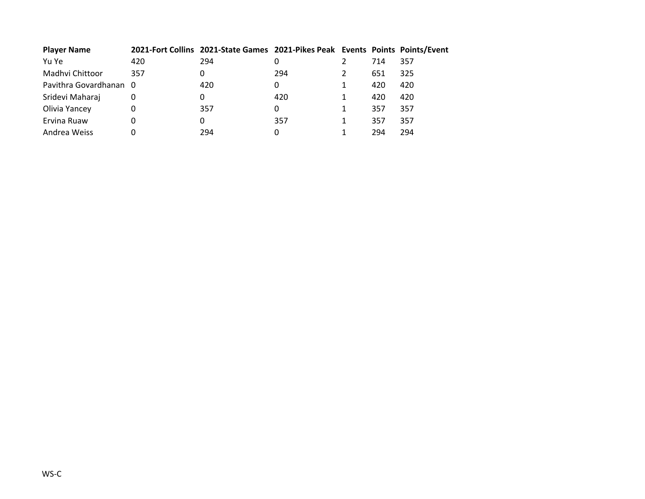| <b>Player Name</b>     |     | 2021-Fort Collins 2021-State Games 2021-Pikes Peak Events Points Points/Event |     |     |     |
|------------------------|-----|-------------------------------------------------------------------------------|-----|-----|-----|
| Yu Ye                  | 420 | 294                                                                           | O   | 714 | 357 |
| Madhvi Chittoor        | 357 | 0                                                                             | 294 | 651 | 325 |
| Pavithra Govardhanan 0 |     | 420                                                                           | 0   | 420 | 420 |
| Sridevi Maharaj        |     | 0                                                                             | 420 | 420 | 420 |
| Olivia Yancey          |     | 357                                                                           | 0   | 357 | 357 |
| Ervina Ruaw            |     | 0                                                                             | 357 | 357 | 357 |
| Andrea Weiss           |     | 294                                                                           | 0   | 294 | 294 |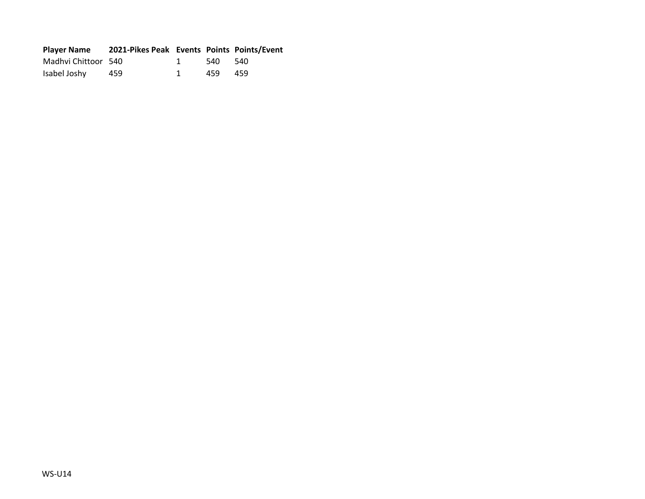| <b>Player Name</b>  | 2021-Pikes Peak Events Points Points/Event |         |     |
|---------------------|--------------------------------------------|---------|-----|
| Madhvi Chittoor 540 |                                            | 540 540 |     |
| Isabel Joshy        | 459                                        | 459     | 459 |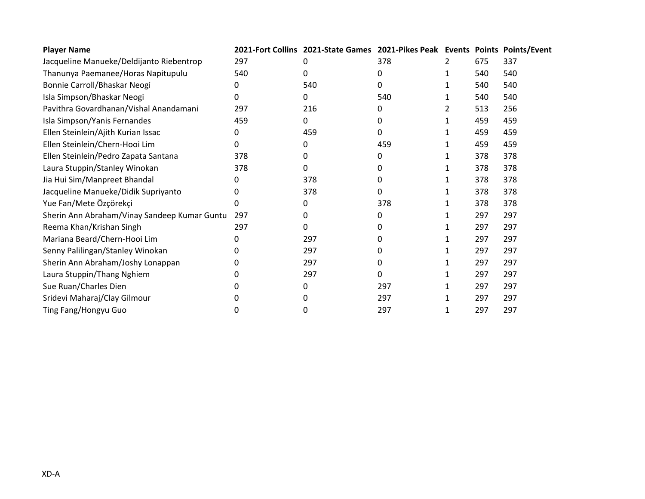| <b>Player Name</b>                           |     | 2021-Fort Collins 2021-State Games 2021-Pikes Peak Events Points Points/Event |     |     |     |
|----------------------------------------------|-----|-------------------------------------------------------------------------------|-----|-----|-----|
| Jacqueline Manueke/Deldijanto Riebentrop     | 297 |                                                                               | 378 | 675 | 337 |
| Thanunya Paemanee/Horas Napitupulu           | 540 | U                                                                             | 0   | 540 | 540 |
| Bonnie Carroll/Bhaskar Neogi                 | 0   | 540                                                                           | 0   | 540 | 540 |
| Isla Simpson/Bhaskar Neogi                   | 0   | 0                                                                             | 540 | 540 | 540 |
| Pavithra Govardhanan/Vishal Anandamani       | 297 | 216                                                                           | 0   | 513 | 256 |
| Isla Simpson/Yanis Fernandes                 | 459 | 0                                                                             | 0   | 459 | 459 |
| Ellen Steinlein/Ajith Kurian Issac           | 0   | 459                                                                           | 0   | 459 | 459 |
| Ellen Steinlein/Chern-Hooi Lim               | 0   | 0                                                                             | 459 | 459 | 459 |
| Ellen Steinlein/Pedro Zapata Santana         | 378 | 0                                                                             | 0   | 378 | 378 |
| Laura Stuppin/Stanley Winokan                | 378 | 0                                                                             | 0   | 378 | 378 |
| Jia Hui Sim/Manpreet Bhandal                 | 0   | 378                                                                           | 0   | 378 | 378 |
| Jacqueline Manueke/Didik Supriyanto          | O   | 378                                                                           | 0   | 378 | 378 |
| Yue Fan/Mete Özçörekçi                       | 0   | 0                                                                             | 378 | 378 | 378 |
| Sherin Ann Abraham/Vinay Sandeep Kumar Guntu | 297 | 0                                                                             | 0   | 297 | 297 |
| Reema Khan/Krishan Singh                     | 297 | 0                                                                             | O   | 297 | 297 |
| Mariana Beard/Chern-Hooi Lim                 | 0   | 297                                                                           | 0   | 297 | 297 |
| Senny Palilingan/Stanley Winokan             | n   | 297                                                                           | 0   | 297 | 297 |
| Sherin Ann Abraham/Joshy Lonappan            | 0   | 297                                                                           | 0   | 297 | 297 |
| Laura Stuppin/Thang Nghiem                   |     | 297                                                                           | 0   | 297 | 297 |
| Sue Ruan/Charles Dien                        |     | 0                                                                             | 297 | 297 | 297 |
| Sridevi Maharaj/Clay Gilmour                 |     |                                                                               | 297 | 297 | 297 |
| Ting Fang/Hongyu Guo                         | 0   |                                                                               | 297 | 297 | 297 |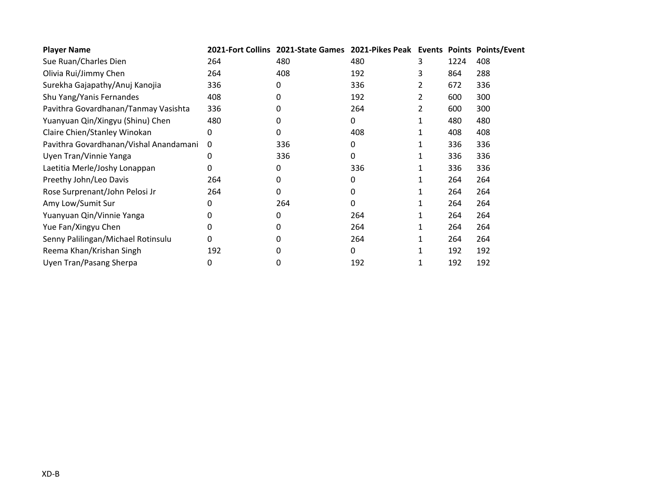| <b>Player Name</b>                     |     | 2021-Fort Collins 2021-State Games 2021-Pikes Peak Events Points Points/Event |     |   |      |     |
|----------------------------------------|-----|-------------------------------------------------------------------------------|-----|---|------|-----|
| Sue Ruan/Charles Dien                  | 264 | 480                                                                           | 480 | 3 | 1224 | 408 |
| Olivia Rui/Jimmy Chen                  | 264 | 408                                                                           | 192 | 3 | 864  | 288 |
| Surekha Gajapathy/Anuj Kanojia         | 336 | 0                                                                             | 336 | 2 | 672  | 336 |
| Shu Yang/Yanis Fernandes               | 408 | 0                                                                             | 192 | 2 | 600  | 300 |
| Pavithra Govardhanan/Tanmay Vasishta   | 336 | 0                                                                             | 264 | 2 | 600  | 300 |
| Yuanyuan Qin/Xingyu (Shinu) Chen       | 480 |                                                                               | 0   |   | 480  | 480 |
| Claire Chien/Stanley Winokan           | 0   | 0                                                                             | 408 |   | 408  | 408 |
| Pavithra Govardhanan/Vishal Anandamani | 0   | 336                                                                           | 0   |   | 336  | 336 |
| Uyen Tran/Vinnie Yanga                 | 0   | 336                                                                           | 0   |   | 336  | 336 |
| Laetitia Merle/Joshy Lonappan          | 0   | 0                                                                             | 336 |   | 336  | 336 |
| Preethy John/Leo Davis                 | 264 | 0                                                                             | 0   |   | 264  | 264 |
| Rose Surprenant/John Pelosi Jr         | 264 | 0                                                                             | 0   |   | 264  | 264 |
| Amy Low/Sumit Sur                      | 0   | 264                                                                           | 0   | 1 | 264  | 264 |
| Yuanyuan Qin/Vinnie Yanga              | 0   | 0                                                                             | 264 |   | 264  | 264 |
| Yue Fan/Xingyu Chen                    | 0   | 0                                                                             | 264 |   | 264  | 264 |
| Senny Palilingan/Michael Rotinsulu     | 0   | 0                                                                             | 264 |   | 264  | 264 |
| Reema Khan/Krishan Singh               | 192 | 0                                                                             | 0   |   | 192  | 192 |
| Uyen Tran/Pasang Sherpa                | 0   | 0                                                                             | 192 |   | 192  | 192 |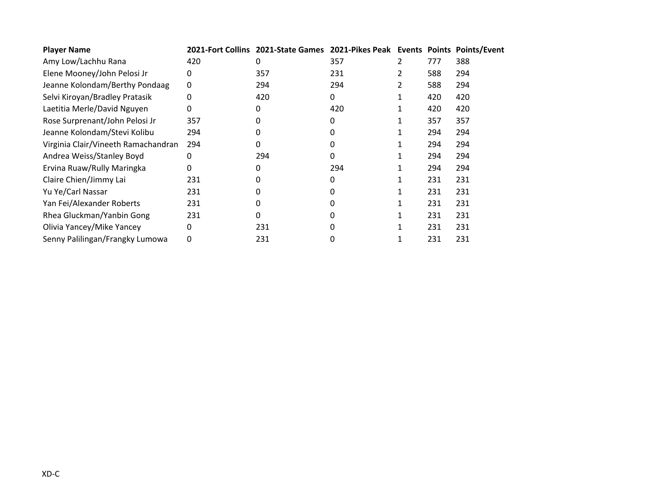| <b>Player Name</b>                  |              | 2021-Fort Collins 2021-State Games 2021-Pikes Peak Events Points Points/Event |     |     |     |
|-------------------------------------|--------------|-------------------------------------------------------------------------------|-----|-----|-----|
| Amy Low/Lachhu Rana                 | 420          | 0                                                                             | 357 | 777 | 388 |
| Elene Mooney/John Pelosi Jr         | 0            | 357                                                                           | 231 | 588 | 294 |
| Jeanne Kolondam/Berthy Pondaag      | 0            | 294                                                                           | 294 | 588 | 294 |
| Selvi Kiroyan/Bradley Pratasik      | 0            | 420                                                                           | 0   | 420 | 420 |
| Laetitia Merle/David Nguyen         | 0            | 0                                                                             | 420 | 420 | 420 |
| Rose Surprenant/John Pelosi Jr      | 357          | 0                                                                             |     | 357 | 357 |
| Jeanne Kolondam/Stevi Kolibu        | 294          | 0                                                                             | 0   | 294 | 294 |
| Virginia Clair/Vineeth Ramachandran | 294          | 0                                                                             | 0   | 294 | 294 |
| Andrea Weiss/Stanley Boyd           | 0            | 294                                                                           | 0   | 294 | 294 |
| Ervina Ruaw/Rully Maringka          | 0            | 0                                                                             | 294 | 294 | 294 |
| Claire Chien/Jimmy Lai              | 231          | 0                                                                             |     | 231 | 231 |
| Yu Ye/Carl Nassar                   | 231          | 0                                                                             | O   | 231 | 231 |
| Yan Fei/Alexander Roberts           | 231          | 0                                                                             | 0   | 231 | 231 |
| Rhea Gluckman/Yanbin Gong           | 231          | 0                                                                             |     | 231 | 231 |
| Olivia Yancey/Mike Yancey           | <sup>0</sup> | 231                                                                           |     | 231 | 231 |
| Senny Palilingan/Frangky Lumowa     | 0            | 231                                                                           |     | 231 | 231 |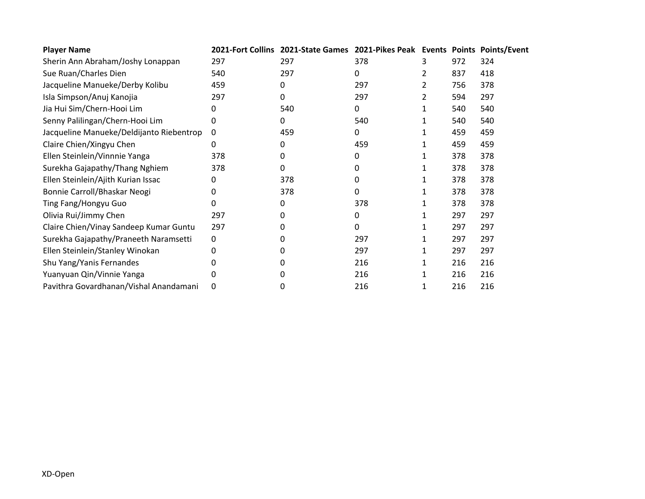| <b>Player Name</b>                       |     | 2021-Fort Collins 2021-State Games 2021-Pikes Peak Events Points Points/Event |     |   |     |     |
|------------------------------------------|-----|-------------------------------------------------------------------------------|-----|---|-----|-----|
| Sherin Ann Abraham/Joshy Lonappan        | 297 | 297                                                                           | 378 |   | 972 | 324 |
| Sue Ruan/Charles Dien                    | 540 | 297                                                                           | 0   |   | 837 | 418 |
| Jacqueline Manueke/Derby Kolibu          | 459 | 0                                                                             | 297 | 2 | 756 | 378 |
| Isla Simpson/Anuj Kanojia                | 297 | 0                                                                             | 297 | 2 | 594 | 297 |
| Jia Hui Sim/Chern-Hooi Lim               | 0   | 540                                                                           | 0   |   | 540 | 540 |
| Senny Palilingan/Chern-Hooi Lim          | 0   | 0                                                                             | 540 |   | 540 | 540 |
| Jacqueline Manueke/Deldijanto Riebentrop | 0   | 459                                                                           | 0   |   | 459 | 459 |
| Claire Chien/Xingyu Chen                 | 0   | 0                                                                             | 459 |   | 459 | 459 |
| Ellen Steinlein/Vinnnie Yanga            | 378 | 0                                                                             | 0   |   | 378 | 378 |
| Surekha Gajapathy/Thang Nghiem           | 378 | 0                                                                             | 0   |   | 378 | 378 |
| Ellen Steinlein/Ajith Kurian Issac       | 0   | 378                                                                           | 0   |   | 378 | 378 |
| Bonnie Carroll/Bhaskar Neogi             | 0   | 378                                                                           | 0   |   | 378 | 378 |
| Ting Fang/Hongyu Guo                     | 0   | 0                                                                             | 378 |   | 378 | 378 |
| Olivia Rui/Jimmy Chen                    | 297 | 0                                                                             | 0   |   | 297 | 297 |
| Claire Chien/Vinay Sandeep Kumar Guntu   | 297 |                                                                               | 0   |   | 297 | 297 |
| Surekha Gajapathy/Praneeth Naramsetti    | 0   | O                                                                             | 297 |   | 297 | 297 |
| Ellen Steinlein/Stanley Winokan          | 0   | 0                                                                             | 297 |   | 297 | 297 |
| Shu Yang/Yanis Fernandes                 | 0   | 0                                                                             | 216 |   | 216 | 216 |
| Yuanyuan Qin/Vinnie Yanga                |     |                                                                               | 216 |   | 216 | 216 |
| Pavithra Govardhanan/Vishal Anandamani   | 0   | 0                                                                             | 216 |   | 216 | 216 |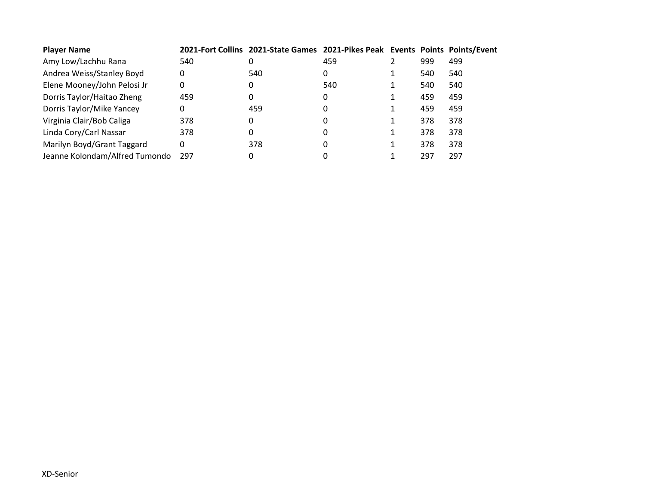| <b>Player Name</b>             |     | 2021-Fort Collins 2021-State Games 2021-Pikes Peak Events Points Points/Event |     |     |     |
|--------------------------------|-----|-------------------------------------------------------------------------------|-----|-----|-----|
| Amy Low/Lachhu Rana            | 540 |                                                                               | 459 | 999 | 499 |
| Andrea Weiss/Stanley Boyd      | 0   | 540                                                                           | 0   | 540 | 540 |
| Elene Mooney/John Pelosi Jr    | 0   | 0                                                                             | 540 | 540 | 540 |
| Dorris Taylor/Haitao Zheng     | 459 |                                                                               | 0   | 459 | 459 |
| Dorris Taylor/Mike Yancey      | 0   | 459                                                                           | 0   | 459 | 459 |
| Virginia Clair/Bob Caliga      | 378 | 0                                                                             | 0   | 378 | 378 |
| Linda Cory/Carl Nassar         | 378 | 0                                                                             | 0   | 378 | 378 |
| Marilyn Boyd/Grant Taggard     | 0   | 378                                                                           | 0   | 378 | 378 |
| Jeanne Kolondam/Alfred Tumondo | 297 | 0                                                                             |     | 297 | 297 |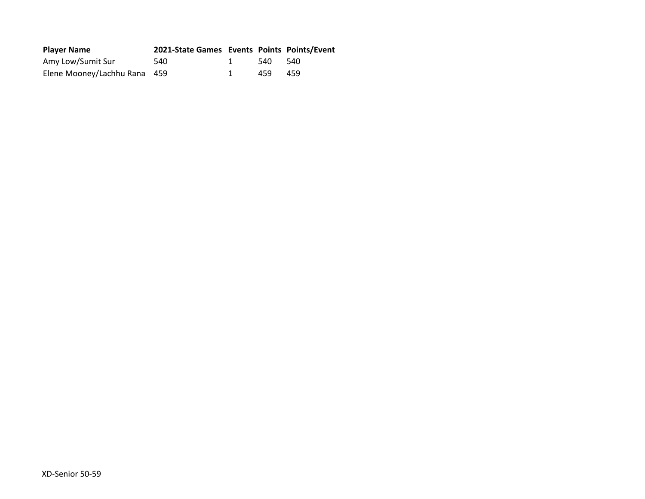| <b>Player Name</b>           | 2021-State Games Events Points Points/Event |     |      |
|------------------------------|---------------------------------------------|-----|------|
| Amy Low/Sumit Sur            | 540                                         | 540 | -540 |
| Elene Mooney/Lachhu Rana 459 |                                             | 459 | 459  |